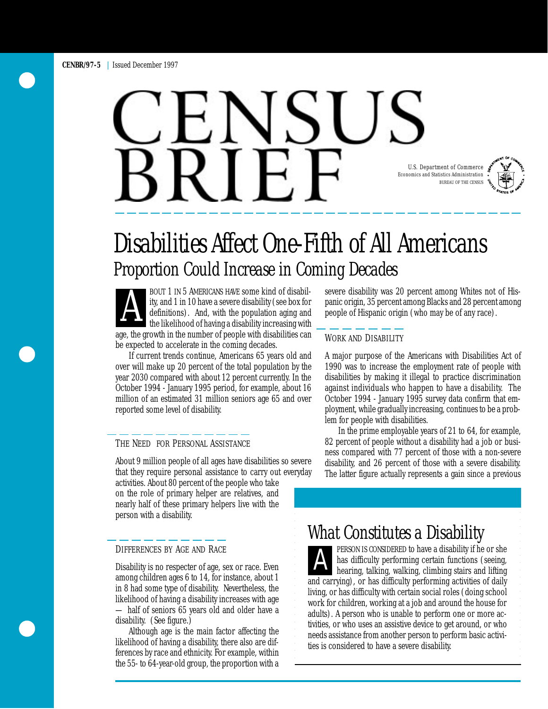# U.S. Department of Commerce Economics and Statistics Administration BUREAU OF THE CENSUS



BOUT 1 IN 5 AMERICANS HAVE some kind of disability, and 1 in 10 have a severe disability (see box for definitions). And, with the population aging and the likelihood of having a disability increasing with ity, and 1 in 10 have a severe disability (see box for definitions). And, with the population aging and the likelihood of having a disability increasing with age, the growth in the number of people with disabilities can be expected to accelerate in the coming decades.

If current trends continue, Americans 65 years old and over will make up 20 percent of the total population by the year 2030 compared with about 12 percent currently. In the October 1994 - January 1995 period, for example, about 16 million of an estimated 31 million seniors age 65 and over reported some level of disability.

#### THE NEED FOR PERSONAL ASSISTANCE

About 9 million people of all ages have disabilities so severe that they require personal assistance to carry out everyday

nearly half of these primary helpers live with the person with a disability. activities. About 80 percent of the people who take on the role of primary helper are relatives, and

#### DIFFERENCES BY AGE AND RACE

Disability is no respecter of age, sex or race. Even among children ages 6 to 14, for instance, about 1 — half of seniors 65 years old and older have a disability. (See figure.)

Although age is the main factor affecting the likelihood of having a disability, there also are differences by race and ethnicity. For example, within the 55- to 64-year-old group, the proportion with a severe disability was 20 percent among Whites not of Hispanic origin, 35 percent among Blacks and 28 percent among people of Hispanic origin (who may be of any race).

#### WORK AND DISABILITY

A major purpose of the Americans with Disabilities Act of 1990 was to increase the employment rate of people with disabilities by making it illegal to practice discrimination against individuals who happen to have a disability. The October 1994 - January 1995 survey data confirm that employment, while gradually increasing, continues to be a problem for people with disabilities.

In the prime employable years of 21 to 64, for example, 82 percent of people without a disability had a job or business compared with 77 percent of those with a non-severe disability, and 26 percent of those with a severe disability. The latter figure actually represents a gain since a previous

## What Constitutes a Disability

**A PERSON IS CONSIDERED to have a disability if he or she has difficulty performing certain functions (seeing, hearing, talking, walking, climbing stairs and lifting** has difficulty performing certain functions (seeing, among chuidren ages o to 14, for instance, about 1<br>in 8 had some type of disability Nevertheless, the<br>likelihood of having a disability increases with age<br>likelihood of having a disability increases with age<br>work for child adults). A person who is unable to perform one or more activities, or who uses an assistive device to get around, or who needs assistance from another person to perform basic activities is considered to have a severe disability.